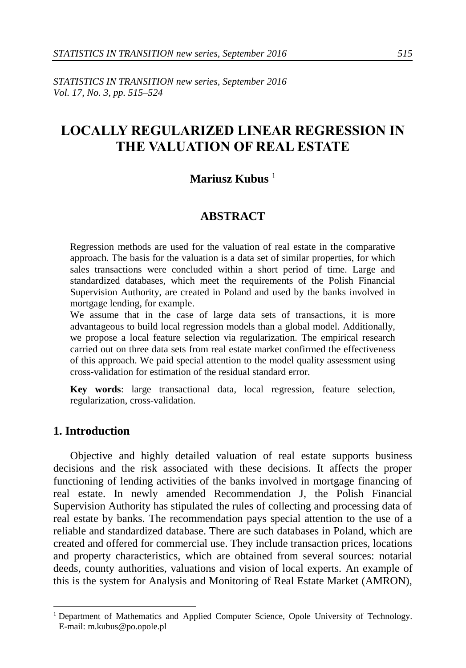*STATISTICS IN TRANSITION new series, September 2016 Vol. 17, No. 3, pp. 515–524*

# **LOCALLY REGULARIZED LINEAR REGRESSION IN THE VALUATION OF REAL ESTATE**

# **Mariusz Kubus** <sup>1</sup>

## **ABSTRACT**

Regression methods are used for the valuation of real estate in the comparative approach. The basis for the valuation is a data set of similar properties, for which sales transactions were concluded within a short period of time. Large and standardized databases, which meet the requirements of the Polish Financial Supervision Authority, are created in Poland and used by the banks involved in mortgage lending, for example.

We assume that in the case of large data sets of transactions, it is more advantageous to build local regression models than a global model. Additionally, we propose a local feature selection via regularization. The empirical research carried out on three data sets from real estate market confirmed the effectiveness of this approach. We paid special attention to the model quality assessment using cross-validation for estimation of the residual standard error.

**Key words**: large transactional data, local regression, feature selection, regularization, cross-validation.

# **1. Introduction**

-

Objective and highly detailed valuation of real estate supports business decisions and the risk associated with these decisions. It affects the proper functioning of lending activities of the banks involved in mortgage financing of real estate. In newly amended Recommendation J, the Polish Financial Supervision Authority has stipulated the rules of collecting and processing data of real estate by banks. The recommendation pays special attention to the use of a reliable and standardized database. There are such databases in Poland, which are created and offered for commercial use. They include transaction prices, locations and property characteristics, which are obtained from several sources: notarial deeds, county authorities, valuations and vision of local experts. An example of this is the system for Analysis and Monitoring of Real Estate Market (AMRON),

<sup>1</sup> Department of Mathematics and Applied Computer Science, Opole University of Technology. E-mail: m.kubus@po.opole.pl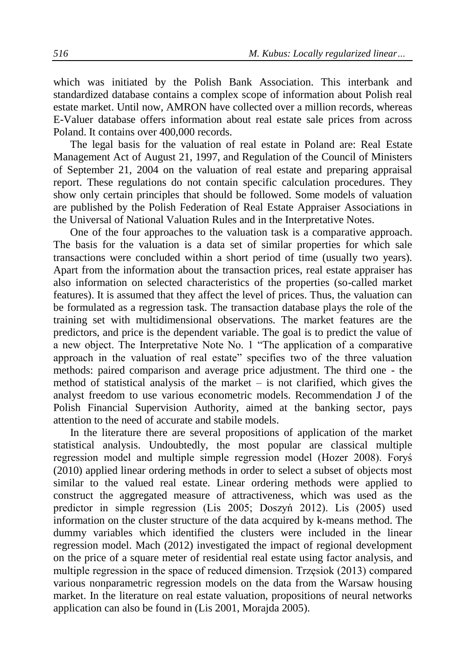which was initiated by the Polish Bank Association. This interbank and standardized database contains a complex scope of information about Polish real estate market. Until now, AMRON have collected over a million records, whereas E-Valuer database offers information about real estate sale prices from across Poland. It contains over 400,000 records.

The legal basis for the valuation of real estate in Poland are: Real Estate Management Act of August 21, 1997, and Regulation of the Council of Ministers of September 21, 2004 on the valuation of real estate and preparing appraisal report. These regulations do not contain specific calculation procedures. They show only certain principles that should be followed. Some models of valuation are published by the Polish Federation of Real Estate Appraiser Associations in the Universal of National Valuation Rules and in the Interpretative Notes.

One of the four approaches to the valuation task is a comparative approach. The basis for the valuation is a data set of similar properties for which sale transactions were concluded within a short period of time (usually two years). Apart from the information about the transaction prices, real estate appraiser has also information on selected characteristics of the properties (so-called market features). It is assumed that they affect the level of prices. Thus, the valuation can be formulated as a regression task. The transaction database plays the role of the training set with multidimensional observations. The market features are the predictors, and price is the dependent variable. The goal is to predict the value of a new object. The Interpretative Note No. 1 "The application of a comparative approach in the valuation of real estate" specifies two of the three valuation methods: paired comparison and average price adjustment. The third one - the method of statistical analysis of the market  $-$  is not clarified, which gives the analyst freedom to use various econometric models. Recommendation J of the Polish Financial Supervision Authority, aimed at the banking sector, pays attention to the need of accurate and stabile models.

In the literature there are several propositions of application of the market statistical analysis. Undoubtedly, the most popular are classical multiple regression model and multiple simple regression model (Hozer 2008). Foryś (2010) applied linear ordering methods in order to select a subset of objects most similar to the valued real estate. Linear ordering methods were applied to construct the aggregated measure of attractiveness, which was used as the predictor in simple regression (Lis 2005; Doszyń 2012). Lis (2005) used information on the cluster structure of the data acquired by k-means method. The dummy variables which identified the clusters were included in the linear regression model. Mach (2012) investigated the impact of regional development on the price of a square meter of residential real estate using factor analysis, and multiple regression in the space of reduced dimension. Trzęsiok (2013) compared various nonparametric regression models on the data from the Warsaw housing market. In the literature on real estate valuation, propositions of neural networks application can also be found in (Lis 2001, Morajda 2005).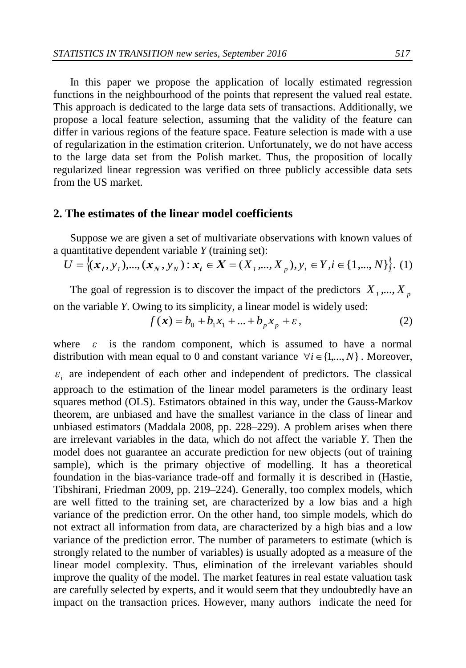In this paper we propose the application of locally estimated regression functions in the neighbourhood of the points that represent the valued real estate. This approach is dedicated to the large data sets of transactions. Additionally, we propose a local feature selection, assuming that the validity of the feature can differ in various regions of the feature space. Feature selection is made with a use of regularization in the estimation criterion. Unfortunately, we do not have access to the large data set from the Polish market. Thus, the proposition of locally regularized linear regression was verified on three publicly accessible data sets from the US market.

## **2. The estimates of the linear model coefficients**

Suppose we are given a set of multivariate observations with known values of a quantitative dependent variable *Y* (training set):

$$
U = \{(x_1, y_1), ..., (x_N, y_N) : x_i \in X = (X_1, ..., X_p), y_i \in Y, i \in \{1, ..., N\}\}.
$$
 (1)

The goal of regression is to discover the impact of the predictors  $X_1, \ldots, X_p$ on the variable *Y*. Owing to its simplicity, a linear model is widely used:

$$
f(\mathbf{x}) = b_0 + b_1 x_1 + \dots + b_p x_p + \varepsilon, \tag{2}
$$

where  $\varepsilon$  is the random component, which is assumed to have a normal distribution with mean equal to 0 and constant variance  $\forall i \in \{1,..., N\}$ . Moreover,  $\varepsilon$ <sub>i</sub> are independent of each other and independent of predictors. The classical approach to the estimation of the linear model parameters is the ordinary least squares method (OLS). Estimators obtained in this way, under the Gauss-Markov theorem, are unbiased and have the smallest variance in the class of linear and unbiased estimators (Maddala 2008, pp. 228–229). A problem arises when there are irrelevant variables in the data, which do not affect the variable *Y*. Then the model does not guarantee an accurate prediction for new objects (out of training sample), which is the primary objective of modelling. It has a theoretical foundation in the bias-variance trade-off and formally it is described in (Hastie, Tibshirani, Friedman 2009, pp. 219–224). Generally, too complex models, which are well fitted to the training set, are characterized by a low bias and a high variance of the prediction error. On the other hand, too simple models, which do not extract all information from data, are characterized by a high bias and a low variance of the prediction error. The number of parameters to estimate (which is strongly related to the number of variables) is usually adopted as a measure of the linear model complexity. Thus, elimination of the irrelevant variables should improve the quality of the model. The market features in real estate valuation task are carefully selected by experts, and it would seem that they undoubtedly have an impact on the transaction prices. However, many authors indicate the need for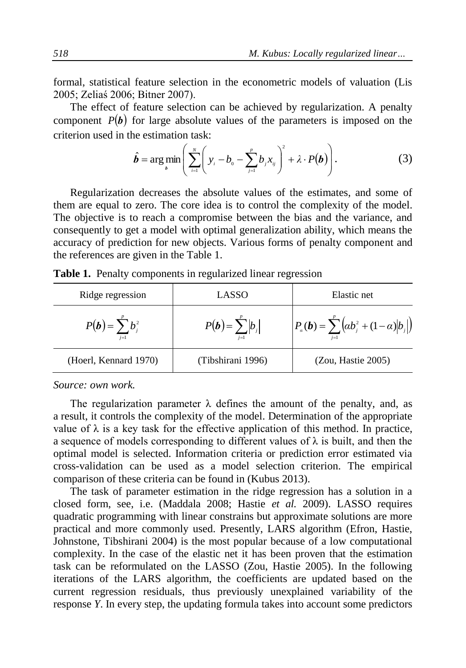formal, statistical feature selection in the econometric models of valuation (Lis 2005; Zeliaś 2006; Bitner 2007).

The effect of feature selection can be achieved by regularization. A penalty component  $P(b)$  for large absolute values of the parameters is imposed on the criterion used in the estimation task:

$$
\hat{\boldsymbol{b}} = \arg\min_{\boldsymbol{b}} \left( \sum_{i=1}^{N} \left( y_i - b_0 - \sum_{j=1}^{p} b_j x_{ij} \right)^2 + \lambda \cdot P(\boldsymbol{b}) \right). \tag{3}
$$

Regularization decreases the absolute values of the estimates, and some of them are equal to zero. The core idea is to control the complexity of the model. The objective is to reach a compromise between the bias and the variance, and consequently to get a model with optimal generalization ability, which means the accuracy of prediction for new objects. Various forms of penalty component and the references are given in the Table 1.

|  | Table 1. Penalty components in regularized linear regression |  |  |
|--|--------------------------------------------------------------|--|--|
|  |                                                              |  |  |

| Ridge regression             | LASSO                        | Elastic net                                                         |
|------------------------------|------------------------------|---------------------------------------------------------------------|
| $P(b) = \sum b_i^2$<br>$i=1$ | $P(b) = \sum  b_i $<br>$i=1$ | $P_{\alpha}(\bm{b}) = \sum^p (\alpha b_i^2 + (1 - \alpha)  b_{i} )$ |
| (Hoerl, Kennard 1970)        | (Tibshirani 1996)            | (Zou, Hastie 2005)                                                  |

*Source: own work.*

The regularization parameter  $\lambda$  defines the amount of the penalty, and, as a result, it controls the complexity of the model. Determination of the appropriate value of  $\lambda$  is a key task for the effective application of this method. In practice, a sequence of models corresponding to different values of  $\lambda$  is built, and then the optimal model is selected. Information criteria or prediction error estimated via cross-validation can be used as a model selection criterion. The empirical comparison of these criteria can be found in (Kubus 2013).

The task of parameter estimation in the ridge regression has a solution in a closed form, see, i.e. (Maddala 2008; Hastie *et al.* 2009). LASSO requires quadratic programming with linear constrains but approximate solutions are more practical and more commonly used. Presently, LARS algorithm (Efron, Hastie, Johnstone, Tibshirani 2004) is the most popular because of a low computational complexity. In the case of the elastic net it has been proven that the estimation task can be reformulated on the LASSO (Zou, Hastie 2005). In the following iterations of the LARS algorithm, the coefficients are updated based on the current regression residuals, thus previously unexplained variability of the response *Y*. In every step, the updating formula takes into account some predictors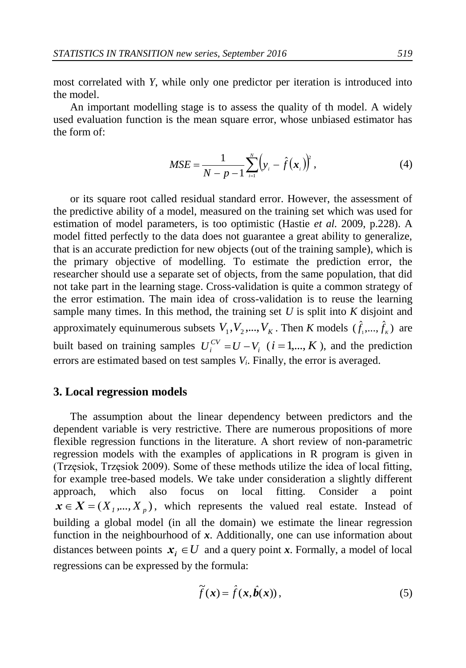most correlated with *Y*, while only one predictor per iteration is introduced into the model.

An important modelling stage is to assess the quality of th model. A widely used evaluation function is the mean square error, whose unbiased estimator has the form of:

$$
MSE = \frac{1}{N - p - 1} \sum_{i=1}^{N} (y_i - \hat{f}(\mathbf{x}_i))^2,
$$
 (4)

or its square root called residual standard error. However, the assessment of the predictive ability of a model, measured on the training set which was used for estimation of model parameters, is too optimistic (Hastie *et al.* 2009, p.228). A model fitted perfectly to the data does not guarantee a great ability to generalize, that is an accurate prediction for new objects (out of the training sample), which is the primary objective of modelling. To estimate the prediction error, the researcher should use a separate set of objects, from the same population, that did not take part in the learning stage. Cross-validation is quite a common strategy of the error estimation. The main idea of cross-validation is to reuse the learning sample many times. In this method, the training set *U* is split into *K* disjoint and approximately equinumerous subsets  $V_1, V_2, ..., V_K$ . Then *K* models  $(\hat{f}_1, ..., \hat{f}_K)$  are built based on training samples  $U_i^{CV} = U - V_i$  ( $i = 1,..., K$ ), and the prediction errors are estimated based on test samples *Vi*. Finally, the error is averaged.

#### **3. Local regression models**

The assumption about the linear dependency between predictors and the dependent variable is very restrictive. There are numerous propositions of more flexible regression functions in the literature. A short review of non-parametric regression models with the examples of applications in R program is given in (Trzęsiok, Trzęsiok 2009). Some of these methods utilize the idea of local fitting, for example tree-based models. We take under consideration a slightly different approach, which also focus on local fitting. Consider a point  $\mathbf{x} \in \mathbf{X} = (X_1, \dots, X_p)$ , which represents the valued real estate. Instead of building a global model (in all the domain) we estimate the linear regression function in the neighbourhood of *x*. Additionally, one can use information about distances between points  $x_i \in U$  and a query point *x*. Formally, a model of local regressions can be expressed by the formula:

$$
\widetilde{f}(\mathbf{x}) = \hat{f}(\mathbf{x}, \hat{\mathbf{b}}(\mathbf{x})),
$$
\n(5)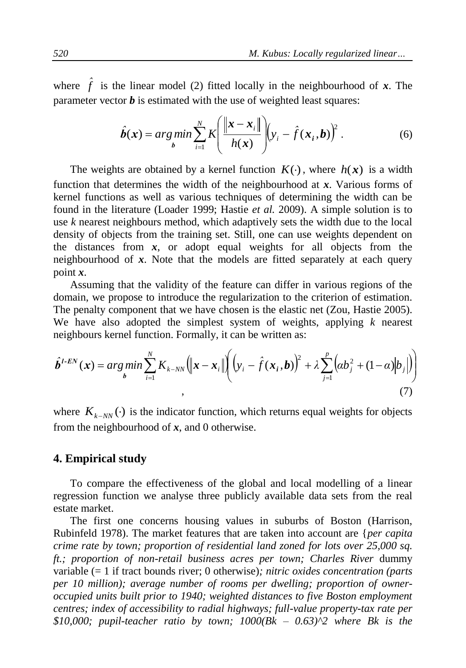where  $\hat{f}$  is the linear model (2) fitted locally in the neighbourhood of *x*. The parameter vector  $\boldsymbol{b}$  is estimated with the use of weighted least squares:

$$
\hat{\boldsymbol{b}}(\boldsymbol{x}) = \underset{\boldsymbol{b}}{\arg\min} \sum_{i=1}^{N} K \left( \frac{\|\boldsymbol{x} - \boldsymbol{x}_i\|}{h(\boldsymbol{x})} \right) (y_i - \hat{f}(\boldsymbol{x}_i, \boldsymbol{b}))^2.
$$
 (6)

The weights are obtained by a kernel function  $K(\cdot)$ , where  $h(x)$  is a width function that determines the width of the neighbourhood at *x*. Various forms of kernel functions as well as various techniques of determining the width can be found in the literature (Loader 1999; Hastie *et al.* 2009). A simple solution is to use *k* nearest neighbours method, which adaptively sets the width due to the local density of objects from the training set. Still, one can use weights dependent on the distances from  $x$ , or adopt equal weights for all objects from the neighbourhood of *x*. Note that the models are fitted separately at each query point *x*.

Assuming that the validity of the feature can differ in various regions of the domain, we propose to introduce the regularization to the criterion of estimation. The penalty component that we have chosen is the elastic net (Zou, Hastie 2005). We have also adopted the simplest system of weights, applying *k* nearest

neighbours kernel function. Formally, it can be written as:  
\n
$$
\hat{\boldsymbol{b}}^{I-EN}(\boldsymbol{x}) = \underset{\boldsymbol{b}}{arg min} \sum_{i=1}^{N} K_{k-NN} (\|\boldsymbol{x} - \boldsymbol{x}_i\|) (\boldsymbol{y}_i - \hat{f}(\boldsymbol{x}_i, \boldsymbol{b}))^2 + \lambda \sum_{j=1}^{p} (\alpha b_j^2 + (1 - \alpha)|b_j|)
$$
\n(7)

where  $K_{k-NN}(\cdot)$  is the indicator function, which returns equal weights for objects from the neighbourhood of *x*, and 0 otherwise.

## **4. Empirical study**

To compare the effectiveness of the global and local modelling of a linear regression function we analyse three publicly available data sets from the real estate market.

The first one concerns housing values in suburbs of Boston (Harrison, Rubinfeld 1978). The market features that are taken into account are {*per capita crime rate by town; proportion of residential land zoned for lots over 25,000 sq. ft.; proportion of non-retail business acres per town; Charles River* dummy variable (= 1 if tract bounds river; 0 otherwise)*; nitric oxides concentration (parts per 10 million); average number of rooms per dwelling; proportion of owneroccupied units built prior to 1940; weighted distances to five Boston employment centres; index of accessibility to radial highways; full-value property-tax rate per \$10,000; pupil-teacher ratio by town; 1000(Bk – 0.63)^2 where Bk is the*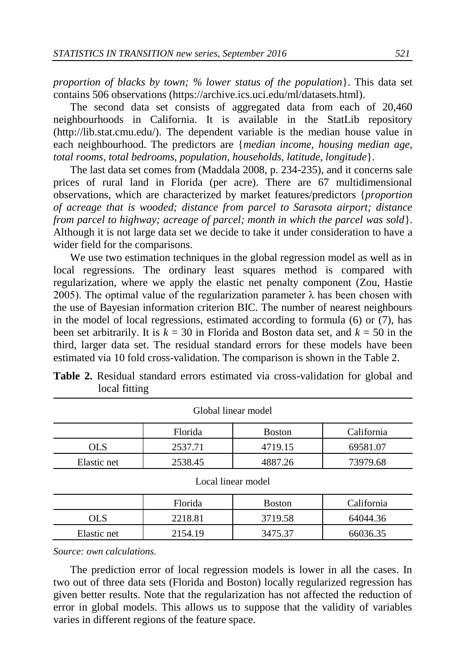*proportion of blacks by town; % lower status of the population*}. This data set contains 506 observations (https://archive.ics.uci.edu/ml/datasets.html).

The second data set consists of aggregated data from each of 20,460 neighbourhoods in California. It is available in the StatLib repository [\(http://lib.stat.cmu.edu/\)](http://lib.stat.cmu.edu/). The dependent variable is the median house value in each neighbourhood. The predictors are {*median income, housing median age, total rooms, total bedrooms, population, households, latitude, longitude*}.

The last data set comes from (Maddala 2008, p. 234-235), and it concerns sale prices of rural land in Florida (per acre). There are 67 multidimensional observations, which are characterized by market features/predictors {*proportion of acreage that is wooded; distance from parcel to Sarasota airport; distance from parcel to highway; acreage of parcel; month in which the parcel was sold*}. Although it is not large data set we decide to take it under consideration to have a wider field for the comparisons.

We use two estimation techniques in the global regression model as well as in local regressions. The ordinary least squares method is compared with regularization, where we apply the elastic net penalty component (Zou, Hastie 2005). The optimal value of the regularization parameter  $\lambda$  has been chosen with the use of Bayesian information criterion BIC. The number of nearest neighbours in the model of local regressions, estimated according to formula (6) or (7), has been set arbitrarily. It is  $k = 30$  in Florida and Boston data set, and  $k = 50$  in the third, larger data set. The residual standard errors for these models have been estimated via 10 fold cross-validation. The comparison is shown in the Table 2.

| OIODAI IIIICAI IIIOUCI |         |               |            |  |  |  |
|------------------------|---------|---------------|------------|--|--|--|
|                        | Florida | <b>Boston</b> | California |  |  |  |
| OLS                    | 2537.71 | 4719.15       | 69581.07   |  |  |  |
| Elastic net            | 2538.45 | 4887.26       | 73979.68   |  |  |  |

**Table 2.** Residual standard errors estimated via cross-validation for global and local fitting

Global linear model

Local linear model

|             | Florida | <b>Boston</b> | California |
|-------------|---------|---------------|------------|
| ЭLS         | 2218.81 | 3719.58       | 64044.36   |
| Elastic net | 2154.19 | 3475.37       | 66036.35   |

*Source: own calculations.*

The prediction error of local regression models is lower in all the cases. In two out of three data sets (Florida and Boston) locally regularized regression has given better results. Note that the regularization has not affected the reduction of error in global models. This allows us to suppose that the validity of variables varies in different regions of the feature space.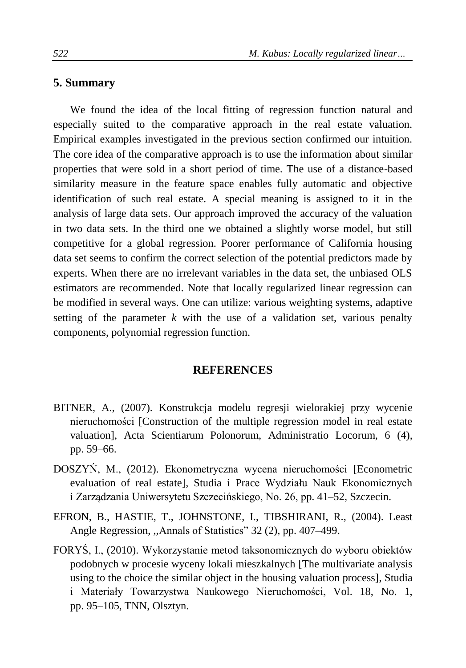# **5. Summary**

We found the idea of the local fitting of regression function natural and especially suited to the comparative approach in the real estate valuation. Empirical examples investigated in the previous section confirmed our intuition. The core idea of the comparative approach is to use the information about similar properties that were sold in a short period of time. The use of a distance-based similarity measure in the feature space enables fully automatic and objective identification of such real estate. A special meaning is assigned to it in the analysis of large data sets. Our approach improved the accuracy of the valuation in two data sets. In the third one we obtained a slightly worse model, but still competitive for a global regression. Poorer performance of California housing data set seems to confirm the correct selection of the potential predictors made by experts. When there are no irrelevant variables in the data set, the unbiased OLS estimators are recommended. Note that locally regularized linear regression can be modified in several ways. One can utilize: various weighting systems, adaptive setting of the parameter  $k$  with the use of a validation set, various penalty components, polynomial regression function.

## **REFERENCES**

- BITNER, A., (2007). Konstrukcja modelu regresji wielorakiej przy wycenie nieruchomości [Construction of the multiple regression model in real estate valuation], Acta Scientiarum Polonorum, Administratio Locorum, 6 (4), pp. 59–66.
- DOSZYŃ, M., (2012). Ekonometryczna wycena nieruchomości [Econometric evaluation of real estate], Studia i Prace Wydziału Nauk Ekonomicznych i Zarządzania Uniwersytetu Szczecińskiego, No. 26, pp. 41–52, Szczecin.
- EFRON, B., HASTIE, T., JOHNSTONE, I., TIBSHIRANI, R., (2004). Least Angle Regression, ,,Annals of Statistics" 32 (2), pp. 407–499.
- FORYŚ, I., (2010). Wykorzystanie metod taksonomicznych do wyboru obiektów podobnych w procesie wyceny lokali mieszkalnych [The multivariate analysis using to the choice the similar object in the housing valuation process], Studia i Materiały Towarzystwa Naukowego Nieruchomości, Vol. 18, No. 1, pp. 95–105, TNN, Olsztyn.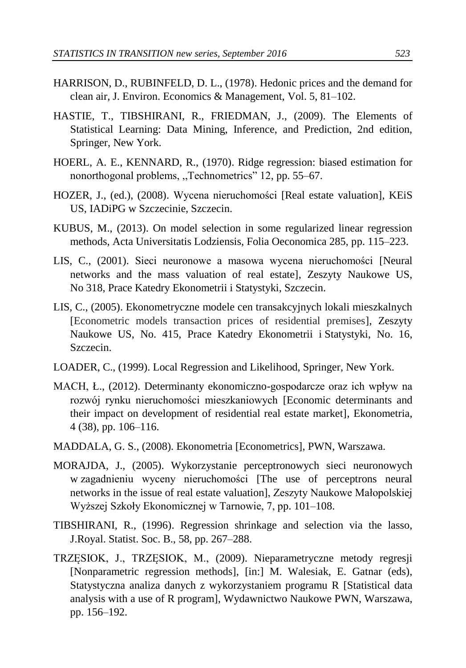- HARRISON, D., RUBINFELD, D. L., (1978). Hedonic prices and the demand for clean air, J. Environ. Economics & Management, Vol. 5, 81–102.
- HASTIE, T., TIBSHIRANI, R., FRIEDMAN, J., (2009). The Elements of Statistical Learning: Data Mining, Inference, and Prediction, 2nd edition, Springer, New York.
- HOERL, A. E., KENNARD, R., (1970). Ridge regression: biased estimation for nonorthogonal problems, ,,Technometrics" 12, pp. 55–67.
- HOZER, J., (ed.), (2008). Wycena nieruchomości [Real estate valuation], KEiS US, IADiPG w Szczecinie, Szczecin.
- KUBUS, M., (2013). On model selection in some regularized linear regression methods, Acta Universitatis Lodziensis, Folia Oeconomica 285, pp. 115–223.
- LIS, C., (2001). Sieci neuronowe a masowa wycena nieruchomości [Neural networks and the mass valuation of real estate], Zeszyty Naukowe US, No 318, Prace Katedry Ekonometrii i Statystyki, Szczecin.
- LIS, C., (2005). Ekonometryczne modele cen transakcyjnych lokali mieszkalnych [Econometric models transaction prices of residential premises], Zeszyty Naukowe US, No. 415, Prace Katedry Ekonometrii i Statystyki, No. 16, Szczecin.
- LOADER, C., (1999). Local Regression and Likelihood, Springer, New York.
- MACH, Ł., (2012). Determinanty ekonomiczno-gospodarcze oraz ich wpływ na rozwój rynku nieruchomości mieszkaniowych [Economic determinants and their impact on development of residential real estate market], Ekonometria, 4 (38), pp. 106–116.
- MADDALA, G. S., (2008). Ekonometria [Econometrics], PWN, Warszawa.
- MORAJDA, J., (2005). Wykorzystanie perceptronowych sieci neuronowych w zagadnieniu wyceny nieruchomości [The use of perceptrons neural networks in the issue of real estate valuation], Zeszyty Naukowe Małopolskiej Wyższej Szkoły Ekonomicznej w Tarnowie, 7, pp. 101–108.
- TIBSHIRANI, R., (1996). Regression shrinkage and selection via the lasso, J.Royal. Statist. Soc. B., 58, pp. 267–288.
- TRZĘSIOK, J., TRZĘSIOK, M., (2009). Nieparametryczne metody regresji [Nonparametric regression methods], [in:] M. Walesiak, E. Gatnar (eds), Statystyczna analiza danych z wykorzystaniem programu R [Statistical data analysis with a use of R program], Wydawnictwo Naukowe PWN, Warszawa, pp. 156–192.